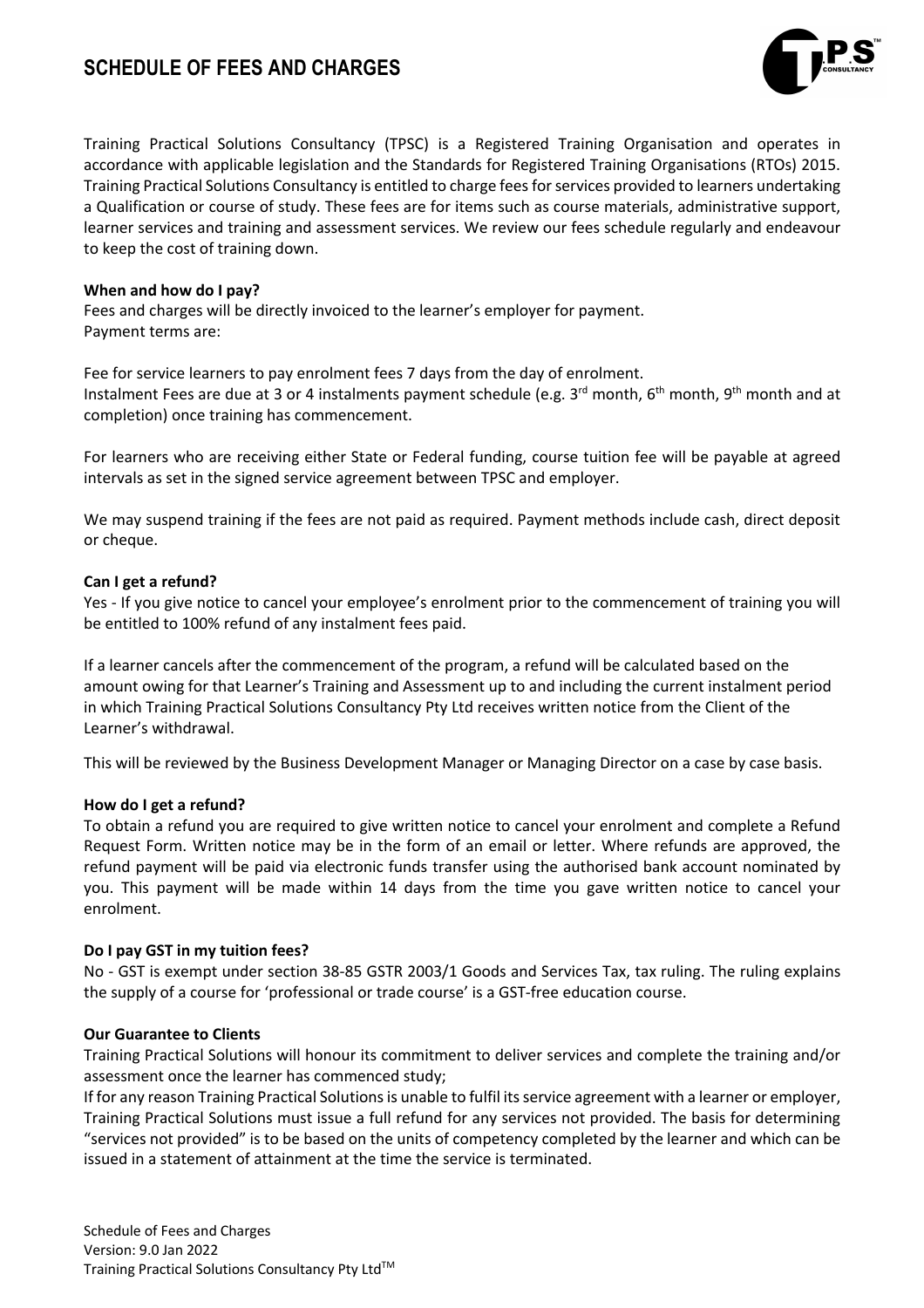# **SCHEDULE OF FEES AND CHARGES**



Training Practical Solutions Consultancy (TPSC) is a Registered Training Organisation and operates in accordance with applicable legislation and the Standards for Registered Training Organisations (RTOs) 2015. Training Practical Solutions Consultancy is entitled to charge fees for services provided to learners undertaking a Qualification or course of study. These fees are for items such as course materials, administrative support, learner services and training and assessment services. We review our fees schedule regularly and endeavour to keep the cost of training down.

### **When and how do I pay?**

Fees and charges will be directly invoiced to the learner's employer for payment. Payment terms are:

Fee for service learners to pay enrolment fees 7 days from the day of enrolment. Instalment Fees are due at 3 or 4 instalments payment schedule (e.g.  $3^{rd}$  month, 6<sup>th</sup> month, 9<sup>th</sup> month and at completion) once training has commencement.

For learners who are receiving either State or Federal funding, course tuition fee will be payable at agreed intervals as set in the signed service agreement between TPSC and employer.

We may suspend training if the fees are not paid as required. Payment methods include cash, direct deposit or cheque.

### **Can I get a refund?**

Yes - If you give notice to cancel your employee's enrolment prior to the commencement of training you will be entitled to 100% refund of any instalment fees paid.

If a learner cancels after the commencement of the program, a refund will be calculated based on the amount owing for that Learner's Training and Assessment up to and including the current instalment period in which Training Practical Solutions Consultancy Pty Ltd receives written notice from the Client of the Learner's withdrawal.

This will be reviewed by the Business Development Manager or Managing Director on a case by case basis.

#### **How do I get a refund?**

To obtain a refund you are required to give written notice to cancel your enrolment and complete a Refund Request Form. Written notice may be in the form of an email or letter. Where refunds are approved, the refund payment will be paid via electronic funds transfer using the authorised bank account nominated by you. This payment will be made within 14 days from the time you gave written notice to cancel your enrolment.

#### **Do I pay GST in my tuition fees?**

No - GST is exempt under section 38-85 GSTR 2003/1 Goods and Services Tax, tax ruling. The ruling explains the supply of a course for 'professional or trade course' is a GST-free education course.

#### **Our Guarantee to Clients**

Training Practical Solutions will honour its commitment to deliver services and complete the training and/or assessment once the learner has commenced study;

If for any reason Training Practical Solutions is unable to fulfil its service agreement with a learner or employer, Training Practical Solutions must issue a full refund for any services not provided. The basis for determining "services not provided" is to be based on the units of competency completed by the learner and which can be issued in a statement of attainment at the time the service is terminated.